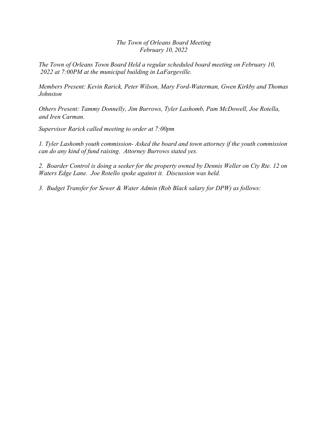*The Town of Orleans Board Meeting February 10, 2022*

*The Town of Orleans Town Board Held a regular scheduled board meeting on February 10, 2022 at 7:00PM at the municipal building in LaFargeville.*

*Members Present: Kevin Rarick, Peter Wilson, Mary Ford-Waterman, Gwen Kirkby and Thomas Johnston*

*Others Present: Tammy Donnelly, Jim Burrows, Tyler Lashomb, Pam McDowell, Joe Rotella, and Iren Carman.*

*Supervisor Rarick called meeting to order at 7:00pm*

*1. Tyler Lashomb youth commission- Asked the board and town attorney if the youth commission can do any kind of fund raising. Attorney Burrows stated yes.*

*2. Boarder Control is doing a seeker for the property owned by Dennis Weller on Cty Rte. 12 on Waters Edge Lane. Joe Rotello spoke against it. Discussion was held.*

*3. Budget Transfer for Sewer & Water Admin (Rob Black salary for DPW) as follows:*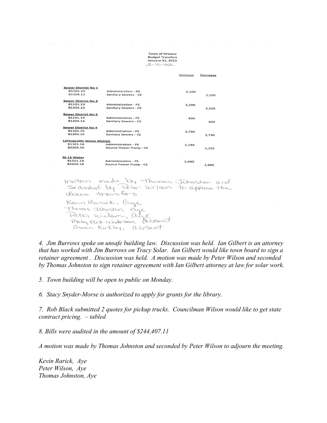Town of Orleans **Budget Transfers** January 31, 2022  $2 - 10 - 22$ 

 $\sim$ 

|                                 |                                                                               | Increase | Decrease |  |
|---------------------------------|-------------------------------------------------------------------------------|----------|----------|--|
|                                 |                                                                               |          |          |  |
| <b>Sewer District No 1</b>      |                                                                               |          |          |  |
| 81101.12                        | Administration - PS                                                           | 2.100    |          |  |
| 81204.12                        | Sanitary Sewers - CE                                                          |          | 2,100    |  |
|                                 |                                                                               |          |          |  |
| Sewer District No 2<br>81101.13 |                                                                               |          |          |  |
| 81204.13                        | Administration - PS<br>Sanitary Sewers - CE                                   | 2,205    |          |  |
|                                 |                                                                               |          | 2,205    |  |
| <b>Sewer District No 3</b>      |                                                                               |          |          |  |
| 81101.14                        | Administration - PS                                                           | 630      |          |  |
| 81204.14                        | Sanitary Sewers - CE                                                          |          | 630      |  |
|                                 |                                                                               |          |          |  |
| Sewer District No 4<br>81101.15 | <b>Administration - PS</b>                                                    |          |          |  |
| 81204.15                        | Sanitary Sewers - CE                                                          | 2,730    |          |  |
|                                 |                                                                               |          | 2,730    |  |
| LaFargeville Water District     |                                                                               |          |          |  |
| 81101.16                        | Administration - PS                                                           | 1,155    |          |  |
| 83204.16                        | Source Power Pump - CE                                                        |          | 1,155    |  |
|                                 |                                                                               |          |          |  |
| Rt 12 Water                     |                                                                               |          |          |  |
| 81101.18                        | Administration - PS                                                           | 1.680    |          |  |
| 83204.18                        | Source Power Pump - CE                                                        |          | 1,680    |  |
|                                 |                                                                               |          |          |  |
|                                 |                                                                               |          |          |  |
|                                 |                                                                               |          |          |  |
|                                 | motion made by thomas Johnston and<br>Seconded by Feter Wilson to approve the |          |          |  |
|                                 |                                                                               |          |          |  |
|                                 |                                                                               |          |          |  |
|                                 |                                                                               |          |          |  |
|                                 | above transfers.                                                              |          |          |  |
|                                 |                                                                               |          |          |  |
|                                 | Kevin Rariek, Crye                                                            |          |          |  |

Thomas Johnston, Cege Peter Wilson, al  $\mathscr{L}$ Mary Ford-wooderman, Elbsent Gusen Kirkhy, absent

 $\bar{\psi}$ 

*4. Jim Burrows spoke on unsafe building law. Discussion was held. Ian Gilbert is an attorney that has worked with Jim Burrows on Tracy Solar. Ian Gilbert would like town board to sign a retainer agreement . Discussion was held. A motion was made by Peter Wilson and seconded by Thomas Johnston to sign retainer agreement with Ian Gilbert attorney at law for solar work.*

*5. Town building will be open to public on Monday.*

*6. Stacy Snyder-Morse is authorized to apply for grants for the library.*

*7. Rob Black submitted 2 quotes for pickup trucks. Councilman Wilson would like to get state contract pricing. – tabled*

*8. Bills were audited in the amount of \$244,407.11*

*A motion was made by Thomas Johnston and seconded by Peter Wilson to adjourn the meeting.*

*Kevin Rarick, Aye Peter Wilson, Aye Thomas Johnston, Aye*